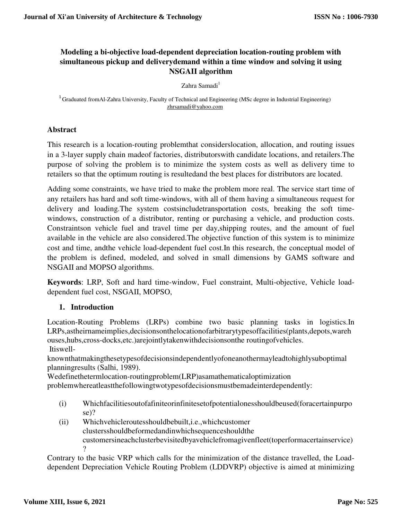# **Modeling a bi-objective load-dependent depreciation location-routing problem with simultaneous pickup and deliverydemand within a time window and solving it using NSGAII algorithm**

 $Zahra$  Samadi<sup>1</sup>

<sup>1</sup> Graduated fromAl-Zahra University, Faculty of Technical and Engineering (MSc degree in Industrial Engineering) zhrsamadi@yahoo.com

### **Abstract**

This research is a location-routing problemthat considerslocation, allocation, and routing issues in a 3-layer supply chain madeof factories, distributorswith candidate locations, and retailers.The purpose of solving the problem is to minimize the system costs as well as delivery time to retailers so that the optimum routing is resultedand the best places for distributors are located.

Adding some constraints, we have tried to make the problem more real. The service start time of any retailers has hard and soft time-windows, with all of them having a simultaneous request for delivery and loading.The system costsincludetransportation costs, breaking the soft timewindows, construction of a distributor, renting or purchasing a vehicle, and production costs. Constraintson vehicle fuel and travel time per day,shipping routes, and the amount of fuel available in the vehicle are also considered.The objective function of this system is to minimize cost and time, andthe vehicle load-dependent fuel cost.In this research, the conceptual model of the problem is defined, modeled, and solved in small dimensions by GAMS software and NSGAII and MOPSO algorithms.

**Keywords**: LRP, Soft and hard time-window, Fuel constraint, Multi-objective, Vehicle loaddependent fuel cost, NSGAII, MOPSO,

### **1. Introduction**

Location-Routing Problems (LRPs) combine two basic planning tasks in logistics.In LRPs,astheirnameimplies,decisionsonthelocationofarbitrarytypesoffacilities(plants,depots,wareh ouses,hubs,cross-docks,etc.)arejointlytakenwithdecisionsonthe routingofvehicles. Itiswell-

knownthatmakingthesetypesofdecisionsindependentlyofoneanothermayleadtohighlysuboptimal planningresults (Salhi, 1989).

Wedefinethetermlocation-routingproblem(LRP)asamathematicaloptimization

problemwhereatleastthefollowingtwotypesofdecisionsmustbemadeinterdependently:

- (i) Whichfacilitiesoutofafiniteorinfinitesetofpotentialonesshouldbeused(foracertainpurpo se)?
- (ii) Whichvehicleroutesshouldbebuilt,i.e.,whichcustomer clustersshouldbeformedandinwhichsequenceshouldthe customersineachclusterbevisitedbyavehiclefromagivenfleet(toperformacertainservice)  $\gamma$

Contrary to the basic VRP which calls for the minimization of the distance travelled, the Loaddependent Depreciation Vehicle Routing Problem (LDDVRP) objective is aimed at minimizing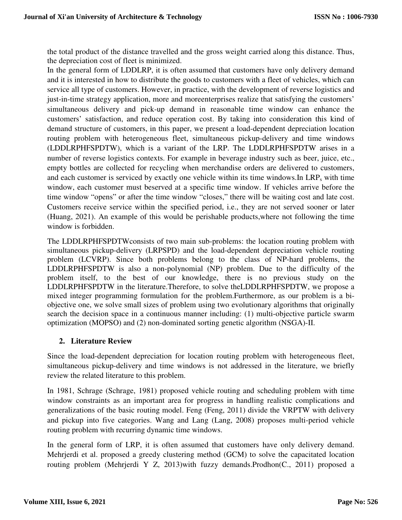the total product of the distance travelled and the gross weight carried along this distance. Thus, the depreciation cost of fleet is minimized.

In the general form of LDDLRP, it is often assumed that customers have only delivery demand and it is interested in how to distribute the goods to customers with a fleet of vehicles, which can service all type of customers. However, in practice, with the development of reverse logistics and just-in-time strategy application, more and moreenterprises realize that satisfying the customers' simultaneous delivery and pick-up demand in reasonable time window can enhance the customers' satisfaction, and reduce operation cost. By taking into consideration this kind of demand structure of customers, in this paper, we present a load-dependent depreciation location routing problem with heterogeneous fleet, simultaneous pickup-delivery and time windows (LDDLRPHFSPDTW), which is a variant of the LRP. The LDDLRPHFSPDTW arises in a number of reverse logistics contexts. For example in beverage industry such as beer, juice, etc., empty bottles are collected for recycling when merchandise orders are delivered to customers, and each customer is serviced by exactly one vehicle within its time windows. In  $LRP_s$  with time window, each customer must beserved at a specific time window. If vehicles arrive before the time window "opens" or after the time window "closes," there will be waiting cost and late cost. Customers receive service within the specified period, i.e., they are not served sooner or later (Huang, 2021). An example of this would be perishable products,where not following the time window is forbidden.

The LDDLRPHFSPDTWconsists of two main sub-problems: the location routing problem with simultaneous pickup-delivery (LRPSPD) and the load-dependent depreciation vehicle routing problem (LCVRP). Since both problems belong to the class of NP-hard problems, the LDDLRPHFSPDTW is also a non-polynomial (NP) problem. Due to the difficulty of the problem itself, to the best of our knowledge, there is no previous study on the LDDLRPHFSPDTW in the literature.Therefore, to solve theLDDLRPHFSPDTW, we propose a mixed integer programming formulation for the problem.Furthermore, as our problem is a biobjective one, we solve small sizes of problem using two evolutionary algorithms that originally search the decision space in a continuous manner including: (1) multi-objective particle swarm optimization (MOPSO) and (2) non-dominated sorting genetic algorithm (NSGA)-II.

### **2. Literature Review**

Since the load-dependent depreciation for location routing problem with heterogeneous fleet, simultaneous pickup-delivery and time windows is not addressed in the literature, we briefly review the related literature to this problem.

In 1981, Schrage (Schrage, 1981) proposed vehicle routing and scheduling problem with time window constraints as an important area for progress in handling realistic complications and generalizations of the basic routing model. Feng (Feng, 2011) divide the VRPTW with delivery and pickup into five categories. Wang and Lang (Lang, 2008) proposes multi-period vehicle routing problem with recurring dynamic time windows.

In the general form of LRP, it is often assumed that customers have only delivery demand. Mehrjerdi et al. proposed a greedy clustering method (GCM) to solve the capacitated location routing problem (Mehrjerdi Y Z, 2013)with fuzzy demands.Prodhon(C., 2011) proposed a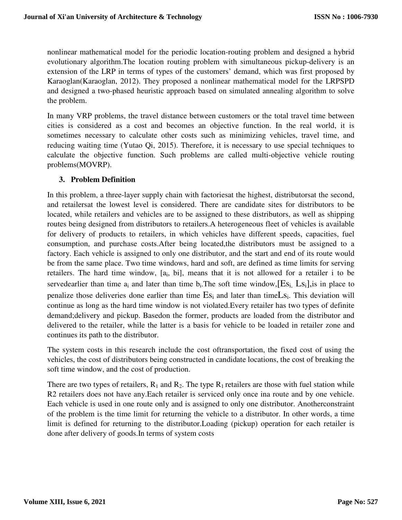nonlinear mathematical model for the periodic location-routing problem and designed a hybrid evolutionary algorithm.The location routing problem with simultaneous pickup-delivery is an extension of the LRP in terms of types of the customers' demand, which was first proposed by Karaoglan(Karaoglan, 2012). They proposed a nonlinear mathematical model for the LRPSPD and designed a two-phased heuristic approach based on simulated annealing algorithm to solve the problem.

In many VRP problems, the travel distance between customers or the total travel time between cities is considered as a cost and becomes an objective function. In the real world, it is sometimes necessary to calculate other costs such as minimizing vehicles, travel time, and reducing waiting time (Yutao Qi, 2015). Therefore, it is necessary to use special techniques to calculate the objective function. Such problems are called multi-objective vehicle routing problems(MOVRP).

### **3. Problem Definition**

In this problem, a three-layer supply chain with factoriesat the highest, distributorsat the second, and retailersat the lowest level is considered. There are candidate sites for distributors to be located, while retailers and vehicles are to be assigned to these distributors, as well as shipping routes being designed from distributors to retailers.A heterogeneous fleet of vehicles is available for delivery of products to retailers, in which vehicles have different speeds, capacities, fuel consumption, and purchase costs.After being located,the distributors must be assigned to a factory. Each vehicle is assigned to only one distributor, and the start and end of its route would be from the same place. Two time windows, hard and soft, are defined as time limits for serving retailers. The hard time window, [a<sub>i</sub>, bi], means that it is not allowed for a retailer i to be servedearlier than time  $a_i$  and later than time  $b_i$ . The soft time window,  $[Es_i, Ls_i]$ , is in place to penalize those deliveries done earlier than time  $Es_i$  and later than time L $s_i$ . This deviation will continue as long as the hard time window is not violated.Every retailer has two types of definite demand;delivery and pickup. Basedon the former, products are loaded from the distributor and delivered to the retailer, while the latter is a basis for vehicle to be loaded in retailer zone and continues its path to the distributor.

The system costs in this research include the cost oftransportation, the fixed cost of using the vehicles, the cost of distributors being constructed in candidate locations, the cost of breaking the soft time window, and the cost of production.

There are two types of retailers,  $R_1$  and  $R_2$ . The type  $R_1$  retailers are those with fuel station while R2 retailers does not have any.Each retailer is serviced only once ina route and by one vehicle. Each vehicle is used in one route only and is assigned to only one distributor. Anotherconstraint of the problem is the time limit for returning the vehicle to a distributor. In other words, a time limit is defined for returning to the distributor.Loading (pickup) operation for each retailer is done after delivery of goods.In terms of system costs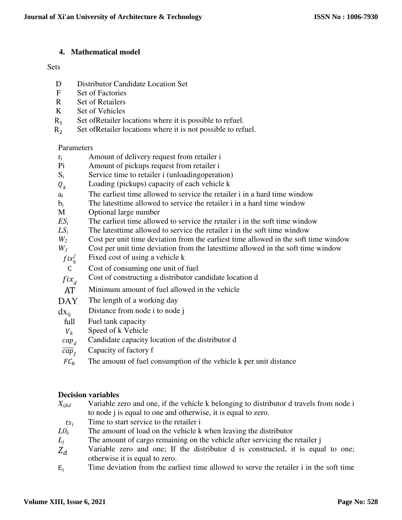### **4. Mathematical model**

#### **Sets**

- D Distributor Candidate Location Set
- F Set of Factories
- R Set of Retailers
- K Set of Vehicles
- $R_1$ <br> $R_2$ Set ofRetailer locations where it is possible to refuel.
- Set ofRetailer locations where it is not possible to refuel.

### Parameters

- $r_i$  Amount of delivery request from retailer i
- Pi Amount of pickups request from retailer i
- $S_i$  Service time to retailer i (unloading operation)
- $Q_k$  Loading (pickups) capacity of each vehicle k<br>a<sub>i</sub> The earliest time allowed to service the retails
- The earliest time allowed to service the retailer i in a hard time window
- $b_i$  The latest time allowed to service the retailer i in a hard time window
- M Optional large number
- $ES_i$  The earliest time allowed to service the retailer i in the soft time window
- $LS<sub>i</sub>$  The latest time allowed to service the retailer i in the soft time window
- *W<sup>2</sup>* Cost per unit time deviation from the earliest time allowed in the soft time window
- *W<sup>3</sup>* Cost per unit time deviation from the latesttime allowed in the soft time window
- Fixed cost of using a vehicle k /
	- $\boldsymbol{k}$ C Cost of consuming one unit of fuel
- Cost of constructing a distributor candidate location d
- $fix_d$ <br>AT  $AT$  Minimum amount of fuel allowed in the vehicle<br>DAY The length of a working day
- The length of a working day
- $dx_{ii}$  Distance from node i to node j
	- full Fuel tank capacity
	- $V_k$  Speed of k Vehicle
	- $cap_d$  Candidate capacity location of the distributor d
- $\overline{cap}_f$  Capacity of factory f
- $FC_k$  The amount of fuel consumption of the vehicle k per unit distance

# **Decision variables**

- Variable zero and one, if the vehicle k belonging to distributor d travels from node i to node j is equal to one and otherwise, it is equal to zero. *Xijkd*
- $ts_i$  Time to start service to the retailer i<br>  $L O_k$  The amount of load on the vehicle k
- The amount of load on the vehicle k when leaving the distributor
- $L_i$  The amount of cargo remaining on the vehicle after servicing the retailer j
- Variable zero and one; If the distributor d is constructed, it is equal to one; otherwise it is equal to zero.  $Z_d$
- $E_i$  Time deviation from the earliest time allowed to serve the retailer i in the soft time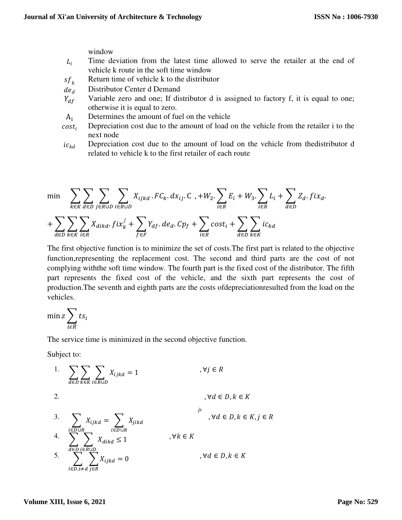window

- Time deviation from the latest time allowed to serve the retailer at the end of vehicle k route in the soft time window  $L_i$
- $s f_k$  Return time of vehicle k to the distributor<br>de<sub>d</sub> Distributor Center d Demand
- Distributor Center d Demand
- Variable zero and one; If distributor d is assigned to factory f, it is equal to one; otherwise it is equal to zero.  $Y_{df}$
- $A_i$  Determines the amount of fuel on the vehicle
- Depreciation cost due to the amount of load on the vehicle from the retailer i to the next node  $cost_i$
- Depreciation cost due to the amount of load on the vehicle from thedistributor d related to vehicle k to the first retailer of each route  $ic_{kd}$

$$
\min \sum_{k \in K} \sum_{d \in D} \sum_{j \in R \cup D} \sum_{i \in R \cup D} X_{ijkd} \cdot F C_k \cdot dx_{ij} \cdot C \cdot + W_2 \cdot \sum_{i \in R} E_i + W_3 \cdot \sum_{i \in R} L_i + \sum_{d \in D} Z_d \cdot fix_d.
$$
  
+ 
$$
\sum_{d \in D} \sum_{k \in K} \sum_{i \in R} X_{dikd} \cdot fix_k' + \sum_{f \in F} Y_{df} \cdot de_d \cdot Cp_f + \sum_{i \in R} cost_i + \sum_{d \in D} \sum_{k \in K} ic_{kd}
$$

The first objective function is to minimize the set of costs.The first part is related to the objective function,representing the replacement cost. The second and third parts are the cost of not complying withthe soft time window. The fourth part is the fixed cost of the distributor. The fifth part represents the fixed cost of the vehicle, and the sixth part represents the cost of production.The seventh and eighth parts are the costs ofdepreciationresulted from the load on the vehicles.

$$
\min Z \sum_{i \in R} t s_i
$$

The service time is minimized in the second objective function.

Subject to:

1. 
$$
\sum_{d \in D} \sum_{k \in K} \sum_{i \in R \cup D} X_{ijkd} = 1
$$
  
\n2. 
$$
\int d \in D, k \in K
$$
  
\n3. 
$$
\sum_{i \in D \cup R} X_{ijkd} = \sum_{i \in D \cup R} X_{jikd}
$$
  
\n4. 
$$
\sum_{d \in D} \sum_{i \in R \cup D} X_{dikd} \le 1
$$
  
\n5. 
$$
\sum_{i \in D, i \ne d} \sum_{j \in R} X_{ijkd} = 0
$$
  
\n6. 
$$
\int d \in D, k \in K
$$
  
\n7. 
$$
\int d \in D, k \in K
$$
  
\n8. 
$$
\int d \in D, k \in K
$$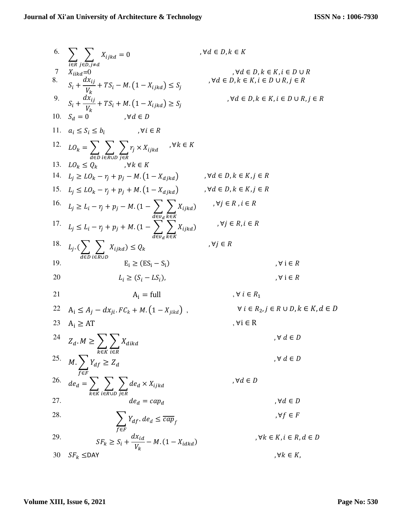6. 
$$
\sum_{i \in R} \sum_{j \in D, j \neq d} x_{ijk d} = 0 \qquad \forall d \in D, k \in K
$$
  
\n7. 
$$
X_{ikd d} = 0 \qquad \forall d \in D, k \in K
$$
  
\n8. 
$$
S_i + \frac{dX_{ij}}{V_k} + TS_i - M.(1 - X_{ijk d}) \le S_j \qquad \forall d \in D, k \in K, i \in D \cup R, j \in R
$$
  
\n9. 
$$
S_i + \frac{dX_{ij}}{V_k} + TS_i + M.(1 - X_{ijk d}) \ge S_j \qquad \forall d \in D, k \in K, i \in D \cup R, j \in R
$$
  
\n10. 
$$
S_d = 0 \qquad \forall d \in D
$$
  
\n11. 
$$
a_i \le S_i \le b_i \qquad \forall i \in R
$$
  
\n12. 
$$
LO_k = \sum_{d \in D} \sum_{i \in R \cup D} \tau_j \times X_{ijk d} \qquad \forall k \in K
$$
  
\n13. 
$$
LO_k \le Q_k \qquad \forall k \in K
$$
  
\n14. 
$$
L_j \ge L_0 - \tau_j + p_j - M.(1 - X_{djk d}) \qquad \forall d \in D, k \in K, j \in R
$$
  
\n15. 
$$
L_j \le L_0 - \tau_j + p_j - M.(1 - X_{djk d}) \qquad \forall d \in D, k \in K, j \in R
$$
  
\n16. 
$$
L_j \ge L_i - \tau_j + p_j - M.(1 - X_{djk d}) \qquad \forall d \in D, k \in K, j \in R
$$
  
\n17. 
$$
L_j \le L_i - \tau_j + p_j - M.(1 - X_{djk d}) \qquad \forall j \in R, i \in R
$$
  
\n18. 
$$
L_j \cdot (\sum_{d \in D} \sum_{i \in R \cup D} X_{ijk d}) \le Q_k \qquad \forall j \in R, i \in R
$$
  
\n19. 
$$
L_i \ge (S_i - S_i) \qquad \forall i \in R
$$
  
\n10. 
$$
B_i \ge A_i \qquad E_i \ge (ES_i - S_i) \qquad \forall i \in R
$$
  
\n11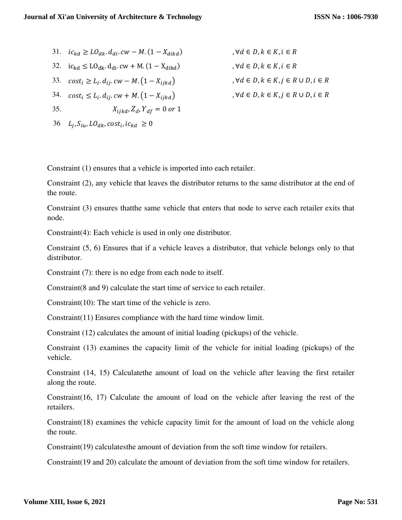31. 
$$
ic_{kd} \geq L O_{dk}
$$
.  $d_{di}$ .  $cw - M$ .  $(1 - X_{dikd})$ ,  $\forall d \in I$ 

32. 
$$
ic_{kd} \leq L O_{dk} \cdot d_{di} \cdot cw + M \cdot (1 - X_{dikd})
$$

33. 
$$
cost_i \ge L_i.d_{ij}.cw - M.(1 - X_{ijkd})
$$

34.  $cost_i \le L_i.d_{ij}.cw + M.\left(1 - X_{ijkd}\right)$  ,  $\forall d \in D, k \in K, j \in R \cup D, i \in R$ 

35.  $X_{ijkl} Z_d, Y_{df} = 0 \text{ or } 1$ 

36  $L_j$ ,  $S_{iu}$ ,  $LO_{dk}$ ,  $cost_i$ ,  $ic_{kd} \ge 0$ 

 $D, k \in K, i \in R$  $, \forall d \in D, k \in K, i \in R$  $, \forall d \in D, k \in K, j \in R \cup D, i \in R$ 

Constraint (1) ensures that a vehicle is imported into each retailer.

Constraint (2), any vehicle that leaves the distributor returns to the same distributor at the end of the route.

Constraint (3) ensures thatthe same vehicle that enters that node to serve each retailer exits that node.

Constraint(4): Each vehicle is used in only one distributor.

Constraint (5, 6) Ensures that if a vehicle leaves a distributor, that vehicle belongs only to that distributor.

Constraint (7): there is no edge from each node to itself.

Constraint(8 and 9) calculate the start time of service to each retailer.

Constraint(10): The start time of the vehicle is zero.

Constraint(11) Ensures compliance with the hard time window limit.

Constraint (12) calculates the amount of initial loading (pickups) of the vehicle.

Constraint (13) examines the capacity limit of the vehicle for initial loading (pickups) of the vehicle.

Constraint (14, 15) Calculatethe amount of load on the vehicle after leaving the first retailer along the route.

Constraint(16, 17) Calculate the amount of load on the vehicle after leaving the rest of the retailers.

Constraint(18) examines the vehicle capacity limit for the amount of load on the vehicle along the route.

Constraint(19) calculatesthe amount of deviation from the soft time window for retailers.

Constraint(19 and 20) calculate the amount of deviation from the soft time window for retailers.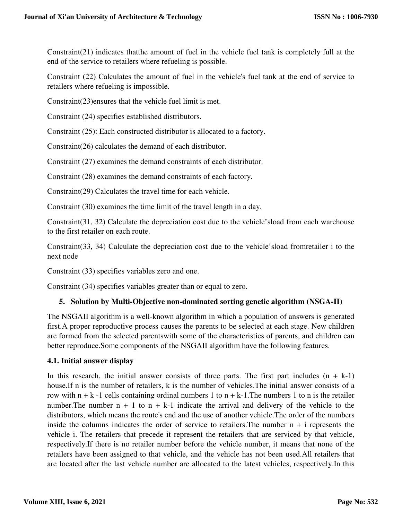Constraint(21) indicates thatthe amount of fuel in the vehicle fuel tank is completely full at the end of the service to retailers where refueling is possible.

Constraint (22) Calculates the amount of fuel in the vehicle's fuel tank at the end of service to retailers where refueling is impossible.

Constraint(23)ensures that the vehicle fuel limit is met.

Constraint (24) specifies established distributors.

Constraint (25): Each constructed distributor is allocated to a factory.

Constraint(26) calculates the demand of each distributor.

Constraint (27) examines the demand constraints of each distributor.

Constraint (28) examines the demand constraints of each factory.

Constraint(29) Calculates the travel time for each vehicle.

Constraint (30) examines the time limit of the travel length in a day.

Constraint(31, 32) Calculate the depreciation cost due to the vehicle'sload from each warehouse to the first retailer on each route.

Constraint(33, 34) Calculate the depreciation cost due to the vehicle'sload fromretailer i to the next node

Constraint (33) specifies variables zero and one.

Constraint (34) specifies variables greater than or equal to zero.

# **5. Solution by Multi-Objective non-dominated sorting genetic algorithm (NSGA-II)**

The NSGAII algorithm is a well-known algorithm in which a population of answers is generated first.A proper reproductive process causes the parents to be selected at each stage. New children are formed from the selected parentswith some of the characteristics of parents, and children can better reproduce.Some components of the NSGAII algorithm have the following features.

### **4.1. Initial answer display**

In this research, the initial answer consists of three parts. The first part includes  $(n + k-1)$ house.If n is the number of retailers, k is the number of vehicles.The initial answer consists of a row with  $n + k - 1$  cells containing ordinal numbers 1 to  $n + k - 1$ . The numbers 1 to n is the retailer number. The number  $n + 1$  to  $n + k-1$  indicate the arrival and delivery of the vehicle to the distributors, which means the route's end and the use of another vehicle.The order of the numbers inside the columns indicates the order of service to retailers. The number  $n + i$  represents the vehicle i. The retailers that precede it represent the retailers that are serviced by that vehicle, respectively.If there is no retailer number before the vehicle number, it means that none of the retailers have been assigned to that vehicle, and the vehicle has not been used.All retailers that are located after the last vehicle number are allocated to the latest vehicles, respectively.In this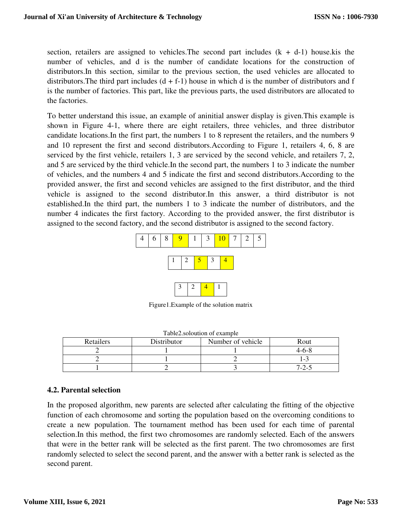section, retailers are assigned to vehicles. The second part includes  $(k + d-1)$  house kis the number of vehicles, and d is the number of candidate locations for the construction of distributors.In this section, similar to the previous section, the used vehicles are allocated to distributors. The third part includes  $(d + f - 1)$  house in which d is the number of distributors and f is the number of factories. This part, like the previous parts, the used distributors are allocated to the factories.

To better understand this issue, an example of aninitial answer display is given.This example is shown in Figure 4-1, where there are eight retailers, three vehicles, and three distributor candidate locations.In the first part, the numbers 1 to 8 represent the retailers, and the numbers 9 and 10 represent the first and second distributors.According to Figure 1, retailers 4, 6, 8 are serviced by the first vehicle, retailers 1, 3 are serviced by the second vehicle, and retailers 7, 2, and 5 are serviced by the third vehicle.In the second part, the numbers 1 to 3 indicate the number of vehicles, and the numbers 4 and 5 indicate the first and second distributors.According to the provided answer, the first and second vehicles are assigned to the first distributor, and the third vehicle is assigned to the second distributor.In this answer, a third distributor is not established.In the third part, the numbers 1 to 3 indicate the number of distributors, and the number 4 indicates the first factory. According to the provided answer, the first distributor is assigned to the second factory, and the second distributor is assigned to the second factory.



Figure1.Example of the solution matrix

| Retailers | Distributor | Number of vehicle | Rout                     |
|-----------|-------------|-------------------|--------------------------|
|           |             |                   | 4-6-ኦ                    |
|           |             |                   | $\overline{\phantom{0}}$ |
|           |             |                   | $7 - 2 - \ldots$         |

| Table2.soloution of example |
|-----------------------------|
|-----------------------------|

# **4.2. Parental selection**

In the proposed algorithm, new parents are selected after calculating the fitting of the objective function of each chromosome and sorting the population based on the overcoming conditions to create a new population. The tournament method has been used for each time of parental selection.In this method, the first two chromosomes are randomly selected. Each of the answers that were in the better rank will be selected as the first parent. The two chromosomes are first randomly selected to select the second parent, and the answer with a better rank is selected as the second parent.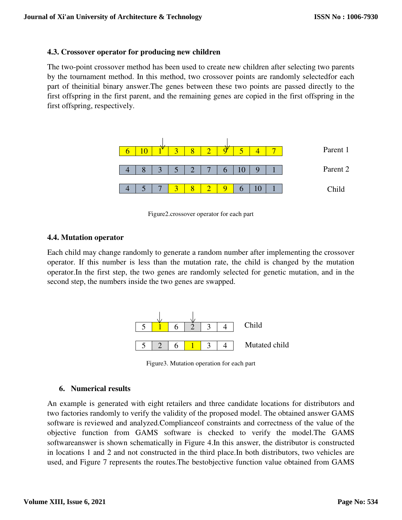### **4.3. Crossover operator for producing new children**

The two-point crossover method has been used to create new children after selecting two parents by the tournament method. In this method, two crossover points are randomly selectedfor each part of theinitial binary answer.The genes between these two points are passed directly to the first offspring in the first parent, and the remaining genes are copied in the first offspring in the first offspring, respectively.



Figure2.crossover operator for each part

#### **4.4. Mutation operator**

Each child may change randomly to generate a random number after implementing the crossover operator. If this number is less than the mutation rate, the child is changed by the mutation operator.In the first step, the two genes are randomly selected for genetic mutation, and in the second step, the numbers inside the two genes are swapped.



Figure3. Mutation operation for each part

### **6. Numerical results**

An example is generated with eight retailers and three candidate locations for distributors and two factories randomly to verify the validity of the proposed model. The obtained answer GAMS software is reviewed and analyzed.Complianceof constraints and correctness of the value of the objective function from GAMS software is checked to verify the model.The GAMS softwareanswer is shown schematically in Figure 4.In this answer, the distributor is constructed in locations 1 and 2 and not constructed in the third place.In both distributors, two vehicles are used, and Figure 7 represents the routes.The bestobjective function value obtained from GAMS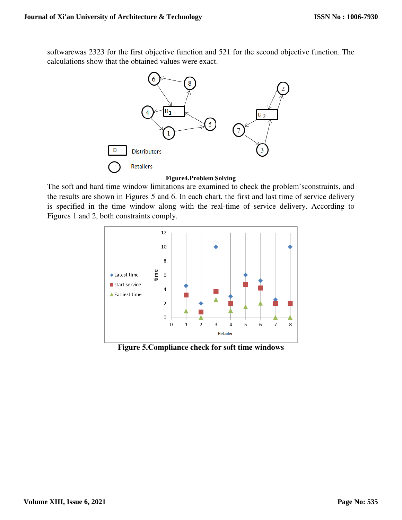softwarewas 2323 for the first objective function and 521 for the second objective function. The calculations show that the obtained values were exact.



#### **Figure4.Problem Solving**

The soft and hard time window limitations are examined to check the problem's the results are shown in Figures 5 and 6. In each chart, the first and last time of service delivery is specified in the time window along with the real-time of service delivery. According to Figures 1 and 2, both constraints comply.



**Figure 5.Compli 5.Compliance check for soft time windows**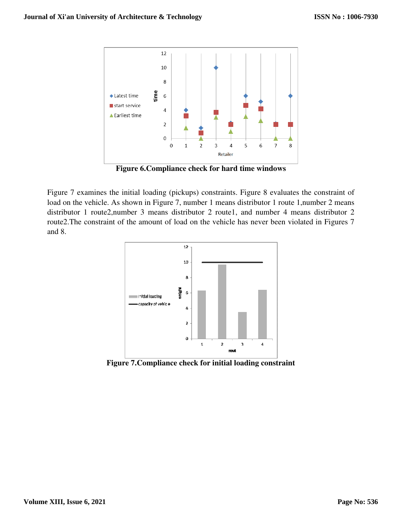

**Figure 6. Compliance check for hard time windows** 

Figure 7 examines the initial loading (pickups) constraints. Figure 8 evaluates the constraint of Figure 7 examines the initial loading (pickups) constraints. Figure 8 evaluates the constraint of load on the vehicle. As shown in Figure 7, number 1 means distributor 1 route 1, number 2 means distributor 1 route2, number 3 means distributor 2 route1, and number 4 means distributor 2 route2. The constraint of the amount of load on the vehicle has never been violated in Figures 7 and 8.



Figure 7. Compliance check for initial loading constraint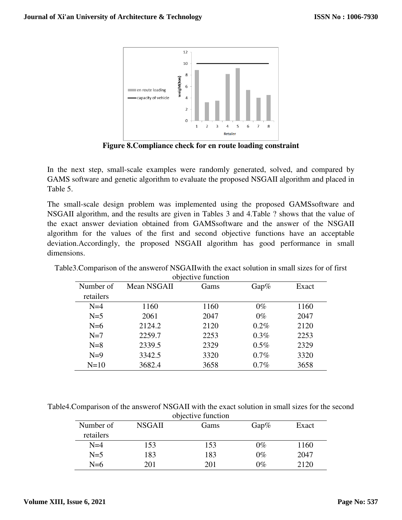

**Figure 8.Compliance check for en route loading constraint**

In the next step, small-scale examples were randomly generated, solved, and compared by In the next step, small-scale examples were randomly generated, solved, and compared by GAMS software and genetic algorithm to evaluate the proposed NSGAII algorithm and placed in Table 5. GAMS software and genetic algorithm to evaluate the proposed NSGAII algorithm and placed in<br>Table 5.<br>The small-scale design problem was implemented using the proposed GAMSsoftware and

NSGAII algorithm, and the results are given in Tables 3 and 4. 4.Table ? shows that the value of the exact answer deviation obtained from GAMSsoftware and the answer of the NSGAII algorithm for the values of the first and second objective functions have an acceptable deviation.Accordingly, the proposed NSGAII algorithm has good performance in small dimensions. for the values of the first and second objective functions have an adex Accordingly, the proposed NSGAII algorithm has good performance is.<br>Solution in small sizes for Comparison of the answer of NSGAII with the exact solu

| In the next step, small-scale examples were randomly generated, solved, and comp<br>GAMS software and genetic algorithm to evaluate the proposed NSGAII algorithm and p<br>Table 5.<br>The small-scale design problem was implemented using the proposed GAMSsoftw<br>NSGAII algorithm, and the results are given in Tables 3 and 4. Table ? shows that the<br>the exact answer deviation obtained from GAMSsoftware and the answer of the<br>algorithm for the values of the first and second objective functions have an ac<br>deviation. Accordingly, the proposed NSGAII algorithm has good performance in<br>dimensions.<br>Table3. Comparison of the answer of NSGAII with the exact solution in small sizes for or<br>Number of<br>retailers<br>$N=4$<br>$N=5$ | Figure 8. Compliance check for en route loading constraint<br>Mean NSGAII | objective function |         |       |
|-----------------------------------------------------------------------------------------------------------------------------------------------------------------------------------------------------------------------------------------------------------------------------------------------------------------------------------------------------------------------------------------------------------------------------------------------------------------------------------------------------------------------------------------------------------------------------------------------------------------------------------------------------------------------------------------------------------------------------------------------------------------------|---------------------------------------------------------------------------|--------------------|---------|-------|
|                                                                                                                                                                                                                                                                                                                                                                                                                                                                                                                                                                                                                                                                                                                                                                       |                                                                           |                    |         |       |
|                                                                                                                                                                                                                                                                                                                                                                                                                                                                                                                                                                                                                                                                                                                                                                       |                                                                           |                    |         |       |
|                                                                                                                                                                                                                                                                                                                                                                                                                                                                                                                                                                                                                                                                                                                                                                       |                                                                           |                    |         |       |
|                                                                                                                                                                                                                                                                                                                                                                                                                                                                                                                                                                                                                                                                                                                                                                       |                                                                           | Gams               | Gap%    | Exact |
|                                                                                                                                                                                                                                                                                                                                                                                                                                                                                                                                                                                                                                                                                                                                                                       |                                                                           |                    |         |       |
|                                                                                                                                                                                                                                                                                                                                                                                                                                                                                                                                                                                                                                                                                                                                                                       | 1160                                                                      | 1160               | $0\%$   | 1160  |
|                                                                                                                                                                                                                                                                                                                                                                                                                                                                                                                                                                                                                                                                                                                                                                       | 2061                                                                      | 2047               | $0\%$   | 2047  |
| $N=6$                                                                                                                                                                                                                                                                                                                                                                                                                                                                                                                                                                                                                                                                                                                                                                 | 2124.2                                                                    | 2120               | 0.2%    | 2120  |
| $N=7$                                                                                                                                                                                                                                                                                                                                                                                                                                                                                                                                                                                                                                                                                                                                                                 | 2259.7                                                                    | 2253               | 0.3%    | 2253  |
| $N=8$                                                                                                                                                                                                                                                                                                                                                                                                                                                                                                                                                                                                                                                                                                                                                                 | 2339.5                                                                    | 2329               | $0.5\%$ | 2329  |
| $N=9$                                                                                                                                                                                                                                                                                                                                                                                                                                                                                                                                                                                                                                                                                                                                                                 | 3342.5                                                                    | 3320               | 0.7%    | 3320  |
| $N=10$                                                                                                                                                                                                                                                                                                                                                                                                                                                                                                                                                                                                                                                                                                                                                                | 3682.4                                                                    | 3658               | 0.7%    | 3658  |
| Table4. Comparison of the answer of NSGAII with the exact solution in small sizes for the                                                                                                                                                                                                                                                                                                                                                                                                                                                                                                                                                                                                                                                                             |                                                                           |                    |         |       |
|                                                                                                                                                                                                                                                                                                                                                                                                                                                                                                                                                                                                                                                                                                                                                                       |                                                                           | objective function | Gap%    | Exact |

Table3. Comparison of the answerof NSGAII with the exact solution in small sizes for of first objective function

Table4. Comparison of the answerof NSGAII with the exact solution in small sizes for the second objective function

| Number of<br>retailers | <b>NSGAII</b> | Gams | $Gap\%$ | Exact |
|------------------------|---------------|------|---------|-------|
| $N=4$                  | 153           | 153  | $0\%$   | 1160  |
| $N=5$                  | 183           | 183  | $0\%$   | 2047  |
| $N=6$                  | 201           | 201  | $0\%$   | 2120  |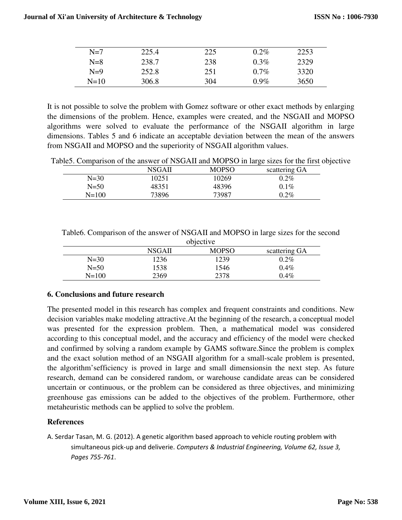| $N=7$  | 225.4 | 225 | 0.2%    | 2253 |
|--------|-------|-----|---------|------|
| $N=8$  | 238.7 | 238 | $0.3\%$ | 2329 |
| $N=9$  | 252.8 | 251 | $0.7\%$ | 3320 |
| $N=10$ | 306.8 | 304 | $0.9\%$ | 3650 |

It is not possible to solve the problem with Gomez software or other exact methods by enlarging the dimensions of the problem. Hence, examples were created, and the NSGAII and MOPSO algorithms were solved to evaluate the performance of the NSGAII algorithm in large dimensions. Tables 5 and 6 indicate an acceptable deviation between the mean of the answers from NSGAII and MOPSO and the superiority of NSGAII algorithm values.

Table5. Comparison of the answer of NSGAII and MOPSO in large sizes for the first objective

|          |        |       |               | . . |
|----------|--------|-------|---------------|-----|
|          | NSGAII | MOPSO | scattering GA |     |
| $N = 30$ | 10251  | 10269 | $0.2\%$       |     |
| $N = 50$ | 48351  | 48396 | $0.1\%$       |     |
| N=100    | 73896  | 73987 | $0.2\%$       |     |

|           | objective     |              |               |  |  |
|-----------|---------------|--------------|---------------|--|--|
|           | <b>NSGAII</b> | <b>MOPSO</b> | scattering GA |  |  |
| $N = 30$  | 1236          | 1239         | $0.2\%$       |  |  |
| $N = 50$  | 1538          | 1546         | $0.4\%$       |  |  |
| $N = 100$ | 2369          | 2378         | $0.4\%$       |  |  |

Table6. Comparison of the answer of NSGAII and MOPSO in large sizes for the second

# **6. Conclusions and future research**

The presented model in this research has complex and frequent constraints and conditions. New decision variables make modeling attractive.At the beginning of the research, a conceptual model was presented for the expression problem. Then, a mathematical model was considered according to this conceptual model, and the accuracy and efficiency of the model were checked and confirmed by solving a random example by GAMS software.Since the problem is complex and the exact solution method of an NSGAII algorithm for a small-scale problem is presented, the algorithm'sefficiency is proved in large and small dimensionsin the next step. As future research, demand can be considered random, or warehouse candidate areas can be considered uncertain or continuous, or the problem can be considered as three objectives, and minimizing greenhouse gas emissions can be added to the objectives of the problem. Furthermore, other metaheuristic methods can be applied to solve the problem.

# **References**

A. Serdar Tasan, M. G. (2012). A genetic algorithm based approach to vehicle routing problem with simultaneous pick-up and deliverie. *Computers & Industrial Engineering, Volume 62, Issue 3, Pages 755-761*.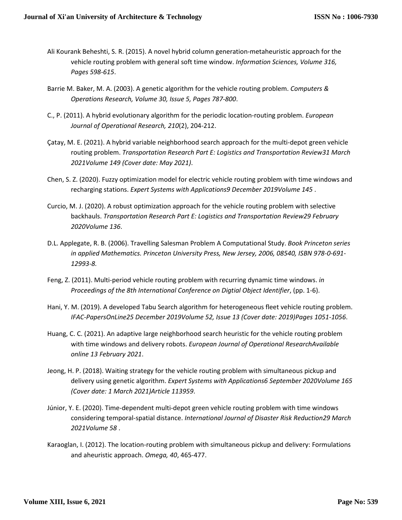- Ali Kourank Beheshti, S. R. (2015). A novel hybrid column generation-metaheuristic approach for the vehicle routing problem with general soft time window. *Information Sciences, Volume 316, Pages 598-615*.
- Barrie M. Baker, M. A. (2003). A genetic algorithm for the vehicle routing problem. *Computers & Operations Research, Volume 30, Issue 5, Pages 787-800*.
- C., P. (2011). A hybrid evolutionary algorithm for the periodic location-routing problem. *European Journal of Operational Research, 210*(2), 204-212.
- Çatay, M. E. (2021). A hybrid variable neighborhood search approach for the multi-depot green vehicle routing problem. *Transportation Research Part E: Logistics and Transportation Review31 March 2021Volume 149 (Cover date: May 2021)*.
- Chen, S. Z. (2020). Fuzzy optimization model for electric vehicle routing problem with time windows and recharging stations. *Expert Systems with Applications9 December 2019Volume 145* .
- Curcio, M. J. (2020). A robust optimization approach for the vehicle routing problem with selective backhauls. *Transportation Research Part E: Logistics and Transportation Review29 February 2020Volume 136*.
- D.L. Applegate, R. B. (2006). Travelling Salesman Problem A Computational Study. *Book Princeton series in applied Mathematics. Princeton University Press, New Jersey, 2006, 08540, ISBN 978-0-691- 12993-8.*
- Feng, Z. (2011). Multi-period vehicle routing problem with recurring dynamic time windows. *in Proceedings of the 8th International Conference on Digtial Object Identifier*, (pp. 1-6).
- Hani, Y. M. (2019). A developed Tabu Search algorithm for heterogeneous fleet vehicle routing problem. *IFAC-PapersOnLine25 December 2019Volume 52, Issue 13 (Cover date: 2019)Pages 1051-1056*.
- Huang, C. C. (2021). An adaptive large neighborhood search heuristic for the vehicle routing problem with time windows and delivery robots. *European Journal of Operational ResearchAvailable online 13 February 2021*.
- Jeong, H. P. (2018). Waiting strategy for the vehicle routing problem with simultaneous pickup and delivery using genetic algorithm. *Expert Systems with Applications6 September 2020Volume 165 (Cover date: 1 March 2021)Article 113959*.
- Júnior, Y. E. (2020). Time-dependent multi-depot green vehicle routing problem with time windows considering temporal-spatial distance. *International Journal of Disaster Risk Reduction29 March 2021Volume 58* .
- Karaoglan, I. (2012). The location-routing problem with simultaneous pickup and delivery: Formulations and aheuristic approach. *Omega, 40*, 465-477.